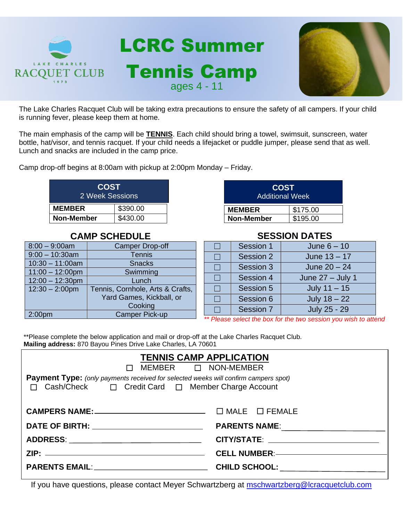

The Lake Charles Racquet Club will be taking extra precautions to ensure the safety of all campers. If your child is running fever, please keep them at home.

The main emphasis of the camp will be **TENNIS**. Each child should bring a towel, swimsuit, sunscreen, water bottle, hat/visor, and tennis racquet. If your child needs a lifejacket or puddle jumper, please send that as well. Lunch and snacks are included in the camp price.

Camp drop-off begins at 8:00am with pickup at 2:00pm Monday – Friday.

| <b>COST</b><br>2 Week Sessions |          |  |
|--------------------------------|----------|--|
| <b>MEMBER</b>                  | \$390.00 |  |
| <b>Non-Member</b>              | \$430.00 |  |

## **CAMP SCHEDULE**

| $8:00 - 9:00$ am   | <b>Camper Drop-off</b>           |
|--------------------|----------------------------------|
| $9:00 - 10:30$ am  | <b>Tennis</b>                    |
| $10:30 - 11:00$ am | <b>Snacks</b>                    |
| $11:00 - 12:00$ pm | Swimming                         |
| $12:00 - 12:30$ pm | Lunch                            |
| $12:30 - 2:00$ pm  | Tennis, Cornhole, Arts & Crafts, |
|                    | Yard Games, Kickball, or         |
|                    | Cooking                          |
| 2:00 <sub>pm</sub> | Camper Pick-up                   |

| <b>COST</b><br><b>Additional Week</b> |          |  |
|---------------------------------------|----------|--|
| <b>MEMBER</b>                         | \$175.00 |  |
| <b>Non-Member</b>                     | \$195.00 |  |

## **SESSION DATES**

| Session 1 | June $6 - 10$      |
|-----------|--------------------|
| Session 2 | June $13 - 17$     |
| Session 3 | June $20 - 24$     |
| Session 4 | June $27 -$ July 1 |
| Session 5 | July $11 - 15$     |
| Session 6 | July $18 - 22$     |
| Session 7 | July 25 - 29       |

*\*\* Please select the box for the two session you wish to attend*

\*\*Please complete the below application and mail or drop-off at the Lake Charles Racquet Club. **Mailing address:** 870 Bayou Pines Drive Lake Charles, LA 70601

| <b>TENNIS CAMP APPLICATION</b><br>$\Box$ MEMBER $\Box$ NON-MEMBER                                                                                 |  |  |  |  |
|---------------------------------------------------------------------------------------------------------------------------------------------------|--|--|--|--|
| Payment Type: (only payments received for selected weeks will confirm campers spot)<br>Cash/Check □ Credit Card □ Member Charge Account<br>$\Box$ |  |  |  |  |
|                                                                                                                                                   |  |  |  |  |
|                                                                                                                                                   |  |  |  |  |
|                                                                                                                                                   |  |  |  |  |
|                                                                                                                                                   |  |  |  |  |
|                                                                                                                                                   |  |  |  |  |

If you have questions, please contact Meyer Schwartzberg at [mschwartzberg@lcracquetclub.com](mailto:mschwartzberg@lcracquetclub.com)